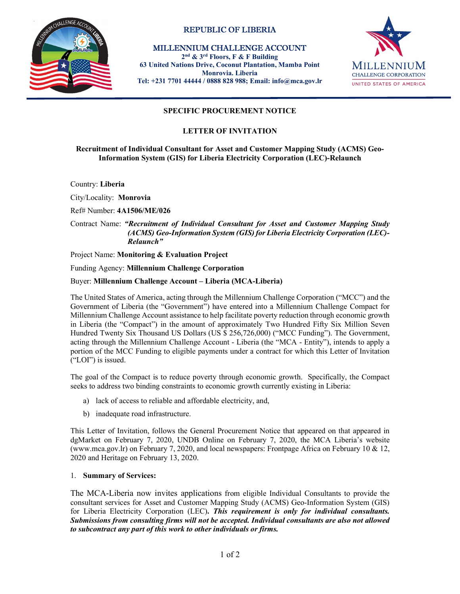

# REPUBLIC OF LIBERIA

 MILLENNIUM CHALLENGE ACCOUNT 2nd & 3rd Floors, F & F Building 63 United Nations Drive, Coconut Plantation, Mamba Point Monrovia. Liberia Tel: +231 7701 44444 / 0888 828 988; Email: info@mca.gov.lr



# SPECIFIC PROCUREMENT NOTICE

## LETTER OF INVITATION

#### Recruitment of Individual Consultant for Asset and Customer Mapping Study (ACMS) Geo-Information System (GIS) for Liberia Electricity Corporation (LEC)-Relaunch

Country: Liberia

City/Locality: Monrovia

Ref# Number: 4A1506/ME/026

#### Contract Name: "Recruitment of Individual Consultant for Asset and Customer Mapping Study (ACMS) Geo-Information System (GIS) for Liberia Electricity Corporation (LEC)- Relaunch"

Project Name: Monitoring & Evaluation Project

# Funding Agency: Millennium Challenge Corporation<br>Buyer: Millennium Challenge Account – Liberia (MCA-Liberia)

The United States of America, acting through the Millennium Challenge Corporation ("MCC") and the Government of Liberia (the "Government") have entered into a Millennium Challenge Compact for Millennium Challenge Account assistance to help facilitate poverty reduction through economic growth in Liberia (the "Compact") in the amount of approximately Two Hundred Fifty Six Million Seven Hundred Twenty Six Thousand US Dollars (US \$ 256,726,000) ("MCC Funding"). The Government, acting through the Millennium Challenge Account - Liberia (the "MCA - Entity"), intends to apply a portion of the MCC Funding to eligible payments under a contract for which this Letter of Invitation ("LOI") is issued.

The goal of the Compact is to reduce poverty through economic growth. Specifically, the Compact seeks to address two binding constraints to economic growth currently existing in Liberia:

- a) lack of access to reliable and affordable electricity, and,
- b) inadequate road infrastructure.

This Letter of Invitation, follows the General Procurement Notice that appeared on that appeared in dgMarket on February 7, 2020, UNDB Online on February 7, 2020, the MCA Liberia's website (www.mca.gov.lr) on February 7, 2020, and local newspapers: Frontpage Africa on February 10 & 12, 2020 and Heritage on February 13, 2020.

#### 1. Summary of Services:

The MCA-Liberia now invites applications from eligible Individual Consultants to provide the consultant services for Asset and Customer Mapping Study (ACMS) Geo-Information System (GIS) for Liberia Electricity Corporation (LEC). This requirement is only for individual consultants. Submissions from consulting firms will not be accepted. Individual consultants are also not allowed to subcontract any part of this work to other individuals or firms.